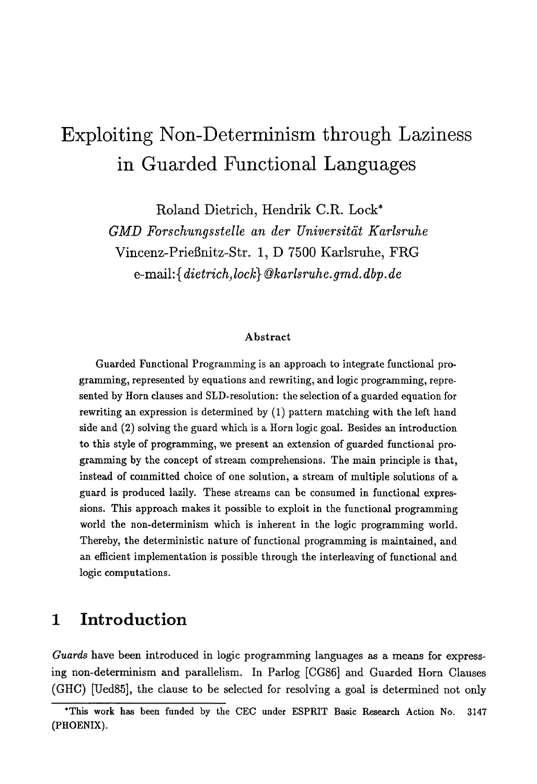# **Exploiting Non-Determinism through Laziness in Guarded Functional Languages**

Roland Dietrich, Hendrik C.R. Lock\* *GMD Forschungsstelle an der Universitiit Karlsruhe*  Vincenz-Prießnitz-Str. 1, D 7500 Karlsruhe, FRG e-marl:{ *dietrich, lock} @karlsruhe. gmd. dbp. de* 

#### Abstract

Guarded Functional Programming is an approach to integrate functional programming, represented by equations and rewriting, and logic programming, represented by Horn clauses and SLD-resolution: the selection of a guarded equation for rewriting an expression is determined by (1) pattern matching with the left hand side and (2) solving the guard which is a Horn logic goal. Besides an introduction to this style of programming, we present an extension of guarded functional programming by the concept of stream comprehensions. The main principle is that, instead of committed choice of one solution, a stream of multiple solutions of a guard is produced lazily. These streams can be consumed in functional expressions. This approach makes it possible to exploit in the functional programming world the non-determinism which is inherent in the logic programming world. Thereby, the deterministic nature of functional programming is maintained, and an efficient implementation is possible through the interleaving of functional and logic computations.

# **1 Introduction**

*Guards* have been introduced in logic programming languages as a means for expressing non-determinism and parallelism. In Parlog [CG86] and Guarded Horn Clauses (GHC) [Ued85], the clause to be selected for resolving a goal is determined not only

<sup>\*</sup>This work has been funded by the CEC under ESPRIT Basic Research Action No. 3147 (PHOENIX).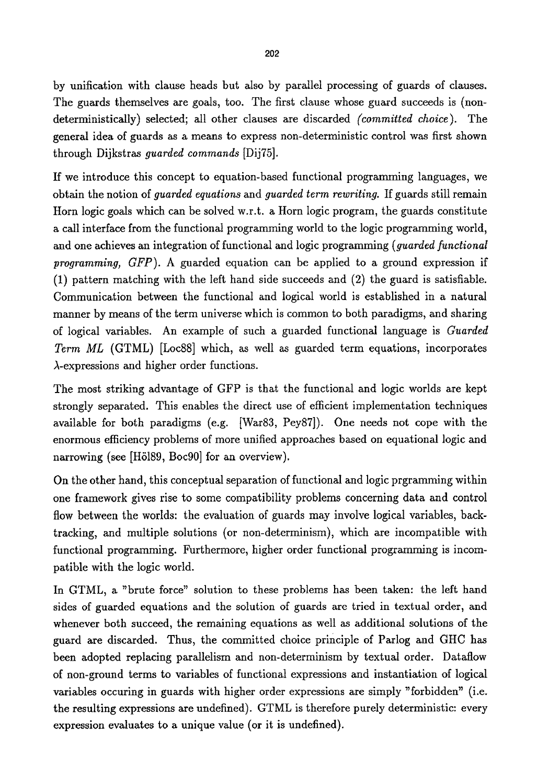by unification with clause heads but also by parallel processing of guards of clauses. The guards themselves are goals, too. The first clause whose guard succeeds is (nondeterministically) selected; all other clauses are discarded *(committed choice).* The general idea of guards as a means to express non-deterministic control was first shown through Dijkstras *guarded commands* [Dij75].

If we introduce this concept to equation-based functional programming languages, we obtain the notion of *guarded equations* and *guarded term rewriting.* If guards still remain Horn logic goals which can be solved w.r.t, a Horn logic program, the guards constitute a call interface from the functional programming world to the logic programming world, and one achieves an integration of functionaI and logic programming *(guarded functional programming, GFP).* A guarded equation can be applied to a ground expression if (1) pattern matching with the left hand side succeeds and (2) the guard is satisfiable. Communication between the functional and logical world is established in a natural manner by means of the term universe which is common to both paradigms, and sharing of logical variables. An example of such a guarded functional language is *Guarded Term ML* (GTML) [Loc88] which, as well as guarded term equations, incorporates  $\lambda$ -expressions and higher order functions.

The most striking advantage of GFP is that the functional and logic worlds are kept strongly separated. This enables the direct use of efficient implementation techniques available for both paradigms (e.g. [War83, Pey87]). One needs not cope with the enormous efficiency problems of more unified approaches based on equational logic and narrowing (see [Höl89, Boc90] for an overview).

On the other hand, this conceptual separation of functional and logic prgramming within one framework gives rise to some compatibility problems concerning data and control flow between the worlds: the evaluation of guards may involve logical variables, backtracking, and multiple solutions (or non-determinism), which axe incompatible with functional programming. Furthermore, higher order functional programming is incompatible with the logic world.

In GTML, a "brute force" solution to these problems has been taken: the left hand sides of guarded equations and the solution of guards are tried in textual order, and whenever both succeed, the remaining equations as well as additional solutions of the guard are discarded. Thus, the committed choice principle of Parlog and GHC has been adopted replacing parallelism and non-determinism by textual order. Dataflow of non-ground terms to variables of functional expressions and instantiation of logical variables occuring in guards with higher order expressions are simply "forbidden" (i.e. the resulting expressions are undefined). GTML is therefore purely deterministic: every expression evaluates to a unique value (or it is undefined).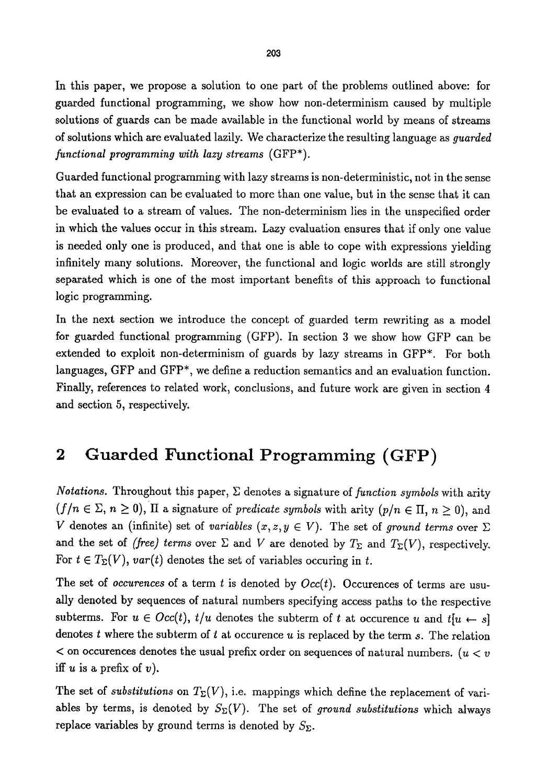In this paper, we propose a solution to one part of the problems outlined above: for guarded functional programming, we show how non-determinism caused by multiple solutions of guards can be made available in the functional world by means of streams of solutions which are evaluated lazily. We characterize the resulting language as *guarded functional programming with lazy streams* (GFP\*).

Guarded functional programming with lazy streams is non-deterministic, not in the sense that an expression can be evaluated to more than one value, but in the sense that it can be evaluated to a stream of values. The non-determinism lies in the unspecified order in which the values occur in this stream. Lazy evaluation ensures that if only one value is needed only one is produced, and that one is able to cope with expressions yielding infinitely many solutions. Moreover, the functional and logic worlds are still strongly separated which is one of the most important benefits of this approach to functional logic programming.

In the next section we introduce the concept of guarded term rewriting as a model for guarded functional programming (GFP). In section 3 we show how GFP can be extended to exploit non-determinism of guards by lazy streams in GFP\*. For both languages, GFP and GFP\*, we define a reduction semantics and an evaluation function. Finally, references to related work, conclusions, and future work are given in section 4 and section 5, respectively.

# **2 Guarded Functional Programming (GFP)**

*Notations.* Throughout this paper, E denotes a signature of *function symbols* with arity  $(f/n \in \Sigma, n \ge 0)$ ,  $\Pi$  a signature of *predicate symbols* with arity  $(p/n \in \Pi, n \ge 0)$ , and V denotes an (infinite) set of *variables*  $(x, z, y \in V)$ . The set of *ground terms* over  $\Sigma$ and the set of *(free)* terms over  $\Sigma$  and V are denoted by  $T_{\Sigma}$  and  $T_{\Sigma}(V)$ , respectively. For  $t \in T_{\Sigma}(V)$ ,  $var(t)$  denotes the set of variables occuring in t.

The set of *occurences* of a term t is denoted by  $Occ(t)$ . Occurences of terms are usually denoted by sequences of natural numbers specifying access paths to the respective subterms. For  $u \in Occ(t)$ ,  $t/u$  denotes the subterm of t at occurence u and  $t[u \leftarrow s]$ denotes  $t$  where the subterm of  $t$  at occurence  $u$  is replaced by the term  $s$ . The relation  $\leq$  on occurences denotes the usual prefix order on sequences of natural numbers. ( $u < v$ iff u is a prefix of  $v$ ).

The set of *substitutions* on  $T_{\Sigma}(V)$ , i.e. mappings which define the replacement of variables by terms, is denoted by  $S_{\Sigma}(V)$ . The set of *ground substitutions* which always replace variables by ground terms is denoted by  $S_{\Sigma}$ .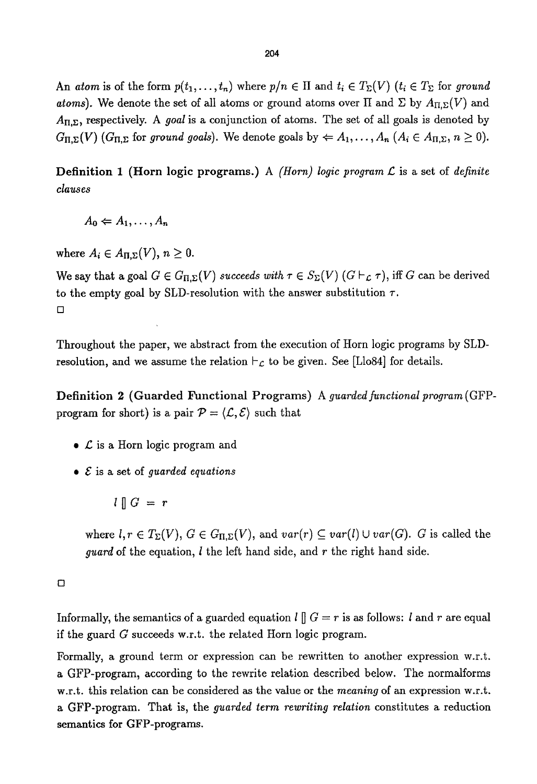An *atom* is of the form  $p(t_1, \ldots, t_n)$  where  $p/n \in \Pi$  and  $t_i \in T_{\Sigma}(V)$  ( $t_i \in T_{\Sigma}$  for *ground atoms*). We denote the set of all atoms or ground atoms over  $\Pi$  and  $\Sigma$  by  $A_{\Pi,\Sigma}(V)$  and  $A_{\Pi,\Sigma}$ , respectively. A *goal* is a conjunction of atoms. The set of all goals is denoted by  $G_{\Pi,\Sigma}(V)$  ( $G_{\Pi,\Sigma}$  for *ground goals*). We denote goals by  $\Leftarrow A_1,\ldots,A_n$  ( $A_i \in A_{\Pi,\Sigma}, n \geq 0$ ).

Definition 1 (Horn logic programs.) A *(Itorn) logic program £* is a set of *definite clauses* 

$$
A_0 \Leftarrow A_1, \ldots, A_n
$$

where  $A_i \in A_{\Pi,\Sigma}(V)$ ,  $n \geq 0$ .

We say that a goal  $G \in G_{\Pi,\Sigma}(V)$  succeeds with  $\tau \in S_{\Sigma}(V)$   $(G \vdash_{\mathcal{L}} \tau)$ , iff G can be derived to the empty goal by SLD-resolution with the answer substitution  $\tau$ . D

Throughout the paper, we abstract from the execution of Horn logic programs by SLDresolution, and we assume the relation  $\vdash_{\mathcal{L}}$  to be given. See [Llo84] for details.

Definition 2 (Guarded Functional Programs) A *guarded functional program(GFP*program for short) is a pair  $\mathcal{P} = \langle \mathcal{L}, \mathcal{E} \rangle$  such that

- $\mathcal L$  is a Horn logic program and
- $\bullet$   $\mathcal E$  is a set of *guarded equations*

$$
l \mathbin{[} G = r
$$

where  $l, r \in T_{\Sigma}(V), G \in G_{\Pi,\Sigma}(V)$ , and  $var(r) \subseteq var(l) \cup var(G)$ . G is called the *guard* of the equation, *l* the left hand side, and *r* the right hand side.

 $\Box$ 

Informally, the semantics of a guarded equation  $l \parallel G = r$  is as follows: l and r are equal if the guard G succeeds w.r.t, the related Horn logic program.

Formally, a ground term or expression can be rewritten to another expression w.r.t. a GFP-program, according to the rewrite relation described below. The normalforms w.r.t, this relation can be considered as the value or the *meaning* of an expression w.r.t. a GFP-program. That is, the *guarded term rewriting relation* constitutes a reduction semantics for GFP-programs.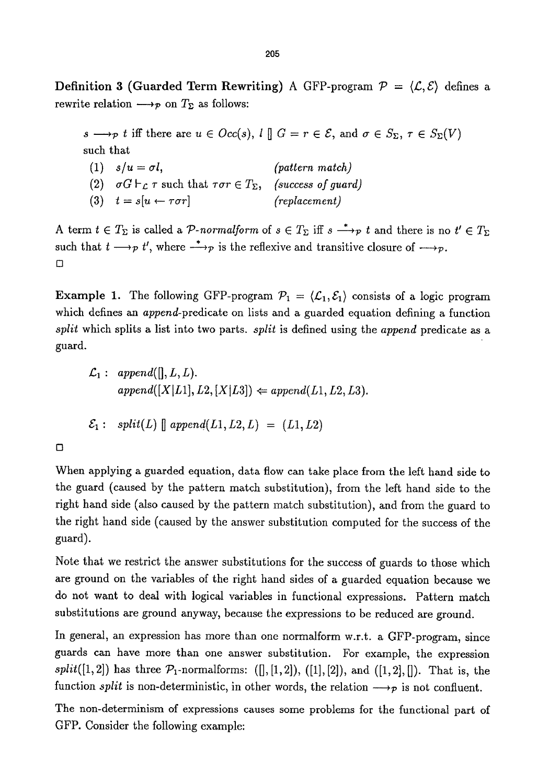**Definition 3 (Guarded Term Rewriting)** A GFP-program  $\mathcal{P} = \langle \mathcal{L}, \mathcal{E} \rangle$  defines a rewrite relation  $\longrightarrow_{\mathcal{P}}$  on  $T_{\Sigma}$  as follows:

 $s \longrightarrow_{\mathcal{P}} t$  iff there are  $u \in Occ(s), l \parallel G = r \in \mathcal{E}$ , and  $\sigma \in S_{\Sigma}, \tau \in S_{\Sigma}(V)$ such that (1) *s/u = at,*  (2)  $\sigma G \vdash_{\mathcal{L}} \tau$  such that  $\tau \sigma r \in T_{\Sigma}$ , (success of guard)  $(3)$   $t = s[u \leftarrow \tau \sigma r]$ *(pattern match) (replacement)* 

A term  $t \in T_{\Sigma}$  is called a *P*-normalform of  $s \in T_{\Sigma}$  iff  $s \xrightarrow{*} p t$  and there is no  $t' \in T_{\Sigma}$ . such that  $t \longrightarrow_{\mathcal{P}} t'$ , where  $\rightarrow_{\mathcal{P}}$  is the reflexive and transitive closure of  $\rightarrow_{\mathcal{P}}$ .  $\Box$ 

**Example 1.** The following GFP-program  $\mathcal{P}_1 = \langle \mathcal{L}_1, \mathcal{E}_1 \rangle$  consists of a logic program which defines an *append-predicate* on lists and a guarded equation defining a function *split* which splits a list into two parts, *split* is defined using the *append* predicate as a guard.

$$
\mathcal{L}_1: \text{ append}([], L, L).
$$
\n
$$
\text{append}([X|L1], L2, [X|L3]) \Leftarrow \text{append}(L1, L2, L3).
$$
\n
$$
\mathcal{E}_1: \text{split}(L) \parallel \text{append}(L1, L2, L) = (L1, L2)
$$

 $\Box$ 

When applying a guarded equation, data flow can take place from the left hand side to the guard (caused by the pattern match substitution), from the left hand side to the right hand side (also caused by the pattern match substitution), and from the guard to the right hand side (caused by the answer substitution computed for the success of the guard).

Note that we restrict the answer substitutions for the success of guards to those which are ground on the variables of the right hand sides of a guarded equation because we do not want to deal with logical variables in functional expressions. Pattern match substitutions are ground anyway, because the expressions to be reduced are ground.

In general, an expression has more than one normalform w.r.t, a GFP-program, since guards can have more than one answer substitution. For example, the expression *split*([1,2]) has three  $\mathcal{P}_1$ -normalforms: ([], [1,2]), ([1], [2]), and ([1,2], []). That is, the function *split* is non-deterministic, in other words, the relation  $\longrightarrow_{\mathcal{P}}$  is not confluent.

The non-determinism of expressions causes some problems for the functional part of GFP. Consider the following example: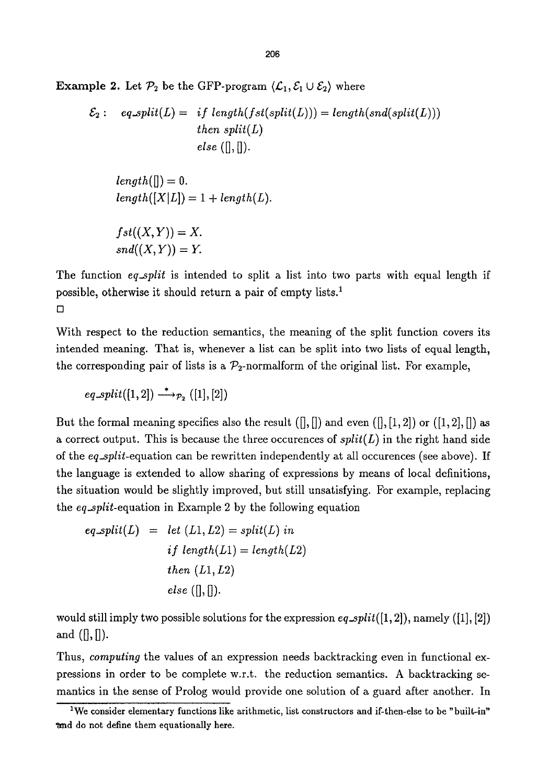**Example 2.** Let  $\mathcal{P}_2$  be the GFP-program  $\langle \mathcal{L}_1, \mathcal{E}_1 \cup \mathcal{E}_2 \rangle$  where

$$
\mathcal{E}_2: \quad eq \text{ } split(L) = \quad if \quad length(f \text{ } st(split(L))) = length(\text{ } sub(f \text{ } split(L)))
$$
\n
$$
then \quad split(L)
$$
\n
$$
else \ ([],[]).
$$
\n
$$
length([]) = 0.
$$
\n
$$
length([X|L]) = 1 + length(L).
$$
\n
$$
fst((X, Y)) = X.
$$
\n
$$
snd((X, Y)) = Y.
$$

The function *eq.split* is intended to split a list into two parts with equal length if possible, otherwise it should return a pair of empty lists.<sup>1</sup>  $\Box$ 

With respect to the reduction semantics, the meaning of the split function covers its intended meaning. That is, whenever a list can be split into two lists of equal length, the corresponding pair of lists is a  $\mathcal{P}_2$ -normalform of the original list. For example,

 $eq\_split([1,2]) \xrightarrow{\ast}_{\mathcal{P}_2} ([1],[2])$ 

But the formal meaning specifies also the result  $( \| , \| )$  and even  $( \| , [ 1, 2] )$  or  $( [ 1, 2] , \| )$  as a correct output. This is because the three occurences of *split(L)* in the right hand side of the *eq\_split-equation* can be rewritten independently at all occurences (see above). If the language is extended to allow sharing of expressions by means of local definitions, the situation would be slightly improved, but still unsatisfying. For example, replacing the *eq.zplit-equation* in Example 2 by the following equation

$$
eq.split(L) = let (L1, L2) = split(L) in
$$
  
\n
$$
if length(L1) = length(L2)
$$
  
\n
$$
then (L1, L2)
$$
  
\n
$$
else ([], []).
$$

would still imply two possible solutions for the expression *eq\_split([1,* 2]), namely ([1], [2]) and  $([] , []$ .

Thus, *computing* the values of an expression needs backtracking even in functional expressions in order to be complete w.r.t, the reduction semantics. A backtracking semantics in the sense of Prolog would provide one solution of a guard after another. In

<sup>1</sup>We consider elementary functions like arithmetic, list constructors and if-then-else to be "built-in" and do not define them equationally here.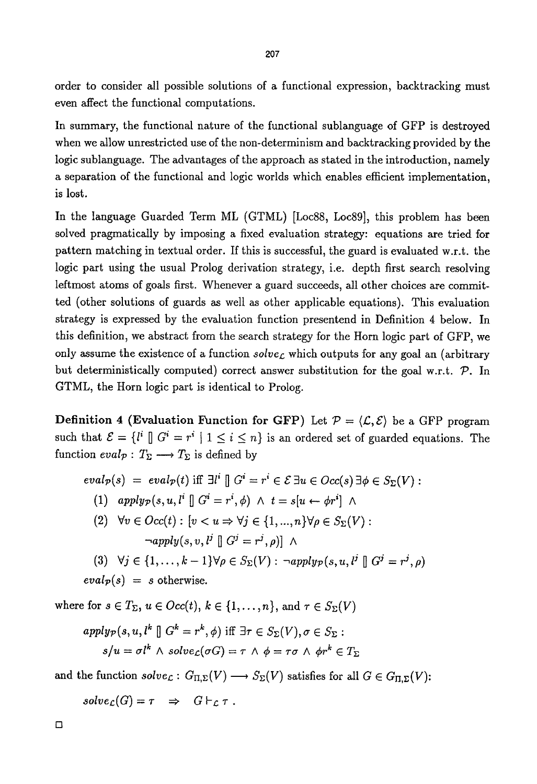order to consider all possible solutions of a functional expression, backtracking must even affect the functional computations.

207

In summary, the functional nature of the functional sublanguage of GFP is destroyed when we allow unrestricted use of the non-determinism and backtracking provided by the logic sublanguage. The advantages of the approach as stated in the introduction, namely a separation of the functional and logic worlds which enables efficient implementation, is lost.

In the language Guarded Term ML (GTML) [Loc88, Loc89], this problem has been solved pragmatically by imposing a fixed evaluation strategy: equations are tried for pattern matching in textual order. If this is successful, the guard is evaluated w.r.t, the logic part using the usual Prolog derivation strategy, i.e. depth first search resolving leftmost atoms of goals first. Whenever a guard succeeds, all other choices are committed (other solutions of guards as well as other applicable equations). This evaluation strategy is expressed by the evaluation function presentend in Definition 4 below. In this definition, we abstract from the search strategy for the Horn logic part of GFP, we only assume the existence of a function *solvec* which outputs for any goal an (arbitrary but deterministically computed) correct answer substitution for the goal w.r.t.  $P$ . In GTML, the Horn logic part is identical to Prolog.

**Definition 4 (Evaluation Function for GFP)** Let  $\mathcal{P} = \langle \mathcal{L}, \mathcal{E} \rangle$  be a GFP program such that  $\mathcal{E} = \{l^i \mid G^i = r^i \mid 1 \leq i \leq n\}$  is an ordered set of guarded equations. The function  $eval_{\mathcal{P}}: T_{\Sigma} \longrightarrow T_{\Sigma}$  is defined by

$$
eval_{\mathcal{P}}(s) = eval_{\mathcal{P}}(t) \text{ iff } \exists l^{i} \parallel G^{i} = r^{i} \in \mathcal{E} \exists u \in Occ(s) \exists \phi \in S_{\Sigma}(V):
$$

$$
(1) \quad apply_{\mathcal{P}}(s, u, l^{t} \parallel G^{i} = r^{i}, \phi) \ \wedge \ t = s[u \leftarrow \phi r^{i}] \ \wedge
$$

(2)  $\forall v \in Occ(t): [v < u \Rightarrow \forall j \in \{1, ..., n\} \forall \rho \in S_{\Sigma}(V):$  $\neg apply(s, v, l^j \rvert \rvert G^j = r^j, \rho)] \wedge$ 

(3) 
$$
\forall j \in \{1, ..., k-1\} \forall \rho \in S_{\Sigma}(V) : \neg apply_{\mathcal{P}}(s, u, l^{j} \rvert G^{j} = r^{j}, \rho)
$$

 $eval_{\mathcal{P}}(s) = s$  otherwise.

where for  $s \in T_{\Sigma}$ ,  $u \in Occ(t)$ ,  $k \in \{1, ..., n\}$ , and  $\tau \in S_{\Sigma}(V)$ 

$$
apply_{\mathcal{P}}(s, u, l^k \parallel G^k = r^k, \phi) \text{ iff } \exists \tau \in S_{\Sigma}(V), \sigma \in S_{\Sigma} :
$$
  

$$
s/u = \sigma l^k \land solve_{\mathcal{L}}(\sigma G) = \tau \land \phi = \tau \sigma \land \phi r^k \in T_{\Sigma}
$$

and the function  $solve_{\mathcal{L}} : G_{\Pi,\Sigma}(V) \longrightarrow S_{\Sigma}(V)$  satisfies for all  $G \in G_{\Pi,\Sigma}(V)$ :

$$
solve_{\mathcal{L}}(G) = \tau \Rightarrow G \vdash_{\mathcal{L}} \tau .
$$

*r~*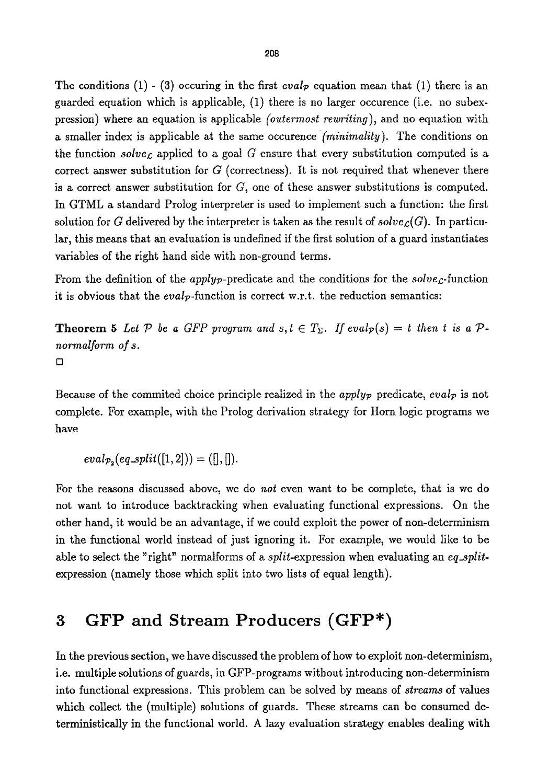The conditions (1) - (3) occuring in the first *eval*<sub>p</sub> equation mean that (1) there is an guarded equation which is applicable, (1) there is no larger occurence (i.e. no subexpression) where an equation is applicable *(outermost rewriting),* and no equation with a smaller index is applicable at the same occurence *(minimality).* The conditions on the function  $solve_{\mathcal{L}}$  applied to a goal G ensure that every substitution computed is a correct answer substitution for  $G$  (correctness). It is not required that whenever there is a correct answer substitution for  $G$ , one of these answer substitutions is computed. In GTML a standard Prolog interpreter is used to implement such a function: the first solution for G delivered by the interpreter is taken as the result of  $solve_{\mathcal{L}}(G)$ . In particular, this means that an evaluation is undefined if the first solution of a guard instantiates variables of the right hand side with non-ground terms.

From the definition of the *apply<sub>p</sub>*-predicate and the conditions for the  $solve_c$ -function it is obvious that the *eval*<sub>p</sub>-function is correct w.r.t. the reduction semantics:

**Theorem 5** Let P be a GFP program and  $s, t \in T_{\Sigma}$ . If  $eval_{\mathcal{P}}(s) = t$  then t is a P*normalform of s. []* 

Because of the commited choice principle realized in the *apply<sub>p</sub>* predicate, *eval<sub>p</sub>* is not complete. For example, with the Prolog derivation strategy for Horn logic programs we have

$$
eval_{\mathcal{P}_2}(eq\_split([1,2])) = ([], []).
$$

For the reasons discussed above, we do *not* even want to be complete, that is we do not want to introduce backtracking when evaluating functional expressions. On the other hand, it would be an advantage, if we could exploit the power of non-determinism in the functional world instead of just ignoring it. For example, we would like to be able to select the "right" normalforms of a *split-expression* when evaluating an *eq..spIit*expression (namely those which split into two lists of equal length).

# **3 GFP and Stream Producers (GFP\*)**

In the previous section, we have discussed the problem of how to exploit non-determinism, i.e. multiple solutions of guards, in GFP-programs without introducing non-determinism into functional expressions. This problem can be solved by means of *streams* of values which collect the (multiple) solutions of guards. These streams can be consumed deterministically in the functional world. A lazy evaluation strategy enables dealing with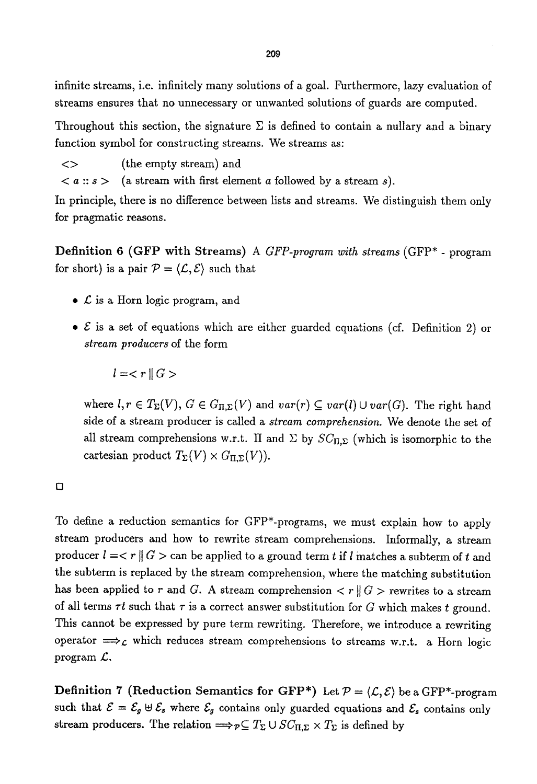infinite streams, i.e. infinitely many solutions of a goal. Furthermore, lazy evaluation of streams ensures that no unnecessary or unwanted solutions of guards are computed.

Throughout this section, the signature  $\Sigma$  is defined to contain a nullary and a binary function symbol for constructing streams. We streams as:

<> (the empty stream) and

 $\langle a : s \rangle$  (a stream with first element a followed by a stream s).

In principle, there is no difference between lists and streams. We distinguish them only for pragmatic reasons.

Definition 6 (GFP with Streams) A *GFP-program with streams* (GFP\* - program for short) is a pair  $P = \langle \mathcal{L}, \mathcal{E} \rangle$  such that

- $\mathcal L$  is a Horn logic program, and
- $\mathcal E$  is a set of equations which are either guarded equations (cf. Definition 2) or *stream producers* of the form

$$
l =
$$

where  $l, r \in T_{\Sigma}(V), G \in G_{\Pi,\Sigma}(V)$  and  $var(r) \subseteq var(l) \cup var(G)$ . The right hand side of a stream producer is called a *stream comprehension.* We denote the set of all stream comprehensions w.r.t.  $\Pi$  and  $\Sigma$  by  $SC_{\Pi,\Sigma}$  (which is isomorphic to the cartesian product  $T_{\Sigma}(V) \times G_{\Pi,\Sigma}(V)$ .

 $\Box$ 

To define a reduction semantics for GFP\*-programs, we must explain how to apply stream producers and how to rewrite stream comprehensions. Informally, a stream producer  $l = r \mid G > \text{can}$  be applied to a ground term t if l matches a subterm of t and the subterm is replaced by the stream comprehension, where the matching substitution has been applied to r and G. A stream comprehension  $\langle r \nvert | G \rangle$  rewrites to a stream of all terms  $\tau t$  such that  $\tau$  is a correct answer substitution for G which makes  $t$  ground. This cannot be expressed by pure term rewriting. Therefore, we introduce a rewriting operator  $\Longrightarrow$ <sub>c</sub> which reduces stream comprehensions to streams w.r.t. a Horn logic program  $\mathcal{L}$ .

**Definition 7 (Reduction Semantics for GFP\*)** Let  $\mathcal{P} = \langle \mathcal{L}, \mathcal{E} \rangle$  be a GFP\*-program such that  $\mathcal{E} = \mathcal{E}_g \oplus \mathcal{E}_s$  where  $\mathcal{E}_g$  contains only guarded equations and  $\mathcal{E}_s$  contains only stream producers. The relation  $\Rightarrow \phi \subseteq T_{\Sigma} \cup SC_{\Pi,\Sigma} \times T_{\Sigma}$  is defined by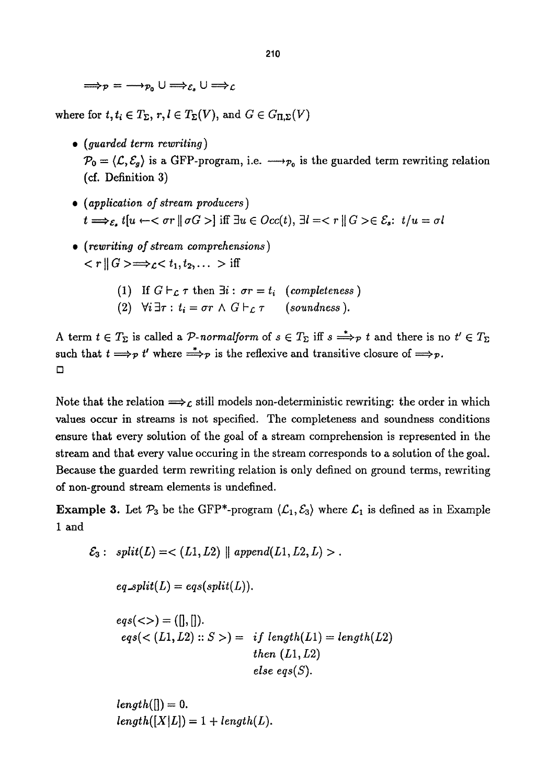$\Rightarrow p = \rightarrow p_0 \cup \Rightarrow \varepsilon$ ,  $\cup \Rightarrow \varepsilon$ 

where for  $t, t_i \in T_\Sigma, r, l \in T_\Sigma(V)$ , and  $G \in G_{\Pi,\Sigma}(V)$ 

- *(guarded term rewriting)*   $\mathcal{P}_0 = \langle \mathcal{L}, \mathcal{E}_g \rangle$  is a GFP-program, i.e.  $\longrightarrow_{\mathcal{P}_0}$  is the guarded term rewriting relation (cf. Definition 3)
- *(application of stream producers)*   $t \Longrightarrow_{\mathcal{E}_t} t[u \leftarrow <\sigma r \, || \, \sigma G> ]$  iff  $\exists u \in Occ(t), \, \exists l= \in \mathcal{E}_s$ :  $t/u=\sigma l$
- *(rewriting of stream comprehensions)*   $\langle \mathbf{r} | | G \rangle \Longrightarrow_{\mathcal{L}} \langle t_1, t_2, \ldots \rangle$  iff
	- (1) If  $G \vdash_{\mathcal{L}} \tau$  then  $\exists i : \sigma r = t_i$  (completeness)
	- (2)  $\forall i \exists \tau : t_i = \sigma r \wedge G \vdash_{\mathcal{L}} \tau$  (soundness).

A term  $t \in T_{\Sigma}$  is called a *P*-normalform of  $s \in T_{\Sigma}$  iff  $s \stackrel{*}{\Longrightarrow} p t$  and there is no  $t' \in T_{\Sigma}$ . such that  $t \Longrightarrow_{\mathcal{P}} t'$  where  $\stackrel{*}{\Longrightarrow}_{\mathcal{P}}$  is the reflexive and transitive closure of  $\Longrightarrow_{\mathcal{P}}$ .  $\Box$ 

Note that the relation  $\Rightarrow$  still models non-deterministic rewriting: the order in which values occur in streams is not specified. The completeness and soundness conditions ensure that every solution of the goal of a stream comprehension is represented in the stream and that every value occuring in the stream corresponds to a solution of the goal. Because the guarded term rewriting relation is only defined on ground terms, rewriting of non-ground stream elements is undefined.

**Example 3.** Let  $\mathcal{P}_3$  be the GFP\*-program  $(\mathcal{L}_1, \mathcal{E}_3)$  where  $\mathcal{L}_1$  is defined as in Example 1 and

 $\mathcal{E}_3:$  split(L) = < (L1, L2) || append(L1, L2, L) >.

 $eq\_split(L) = eqs(split(L)).$ 

 $eqs(<>)$  = ([, []).  $eqs(*L*1, *L*2):: S>) = if length(*L*1) = length(*L*2)$  $then (L1, L2)$ *else eqs(S).* 

 $length($  $|) = 0.$  $length([X|L]) = 1 + length(L).$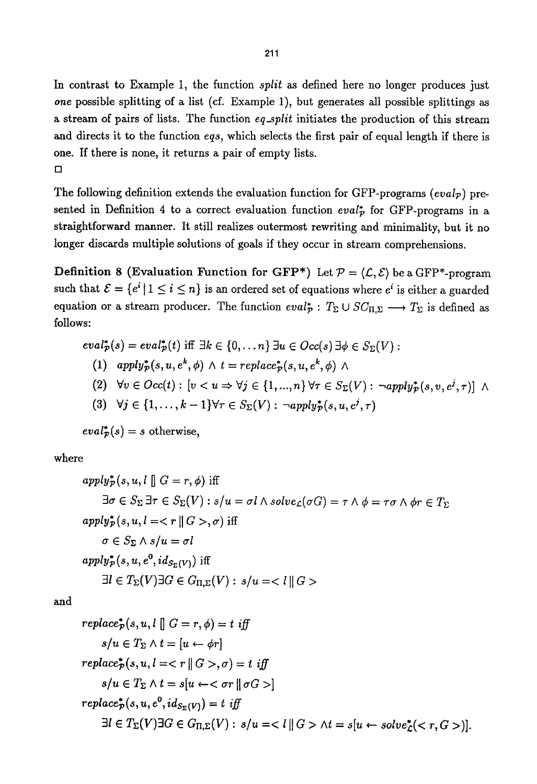In contrast to Example 1, the function *split as* defined here no longer produces just *one* possible splitting of a list (cf. Example 1), but generates all possible splittings as a stream of pairs of lists. The function *eq\_split* initiates the production of this stream and directs it to the function *eqs,* which selects the first pair of equal length if there is one. If there is none, it returns a pair of empty lists. I3

The following definition extends the evaluation function for GFP-programs *(evalp)* presented in Definition 4 to a correct evaluation function  $eval_p^*$  for GFP-programs in a straightforward manner. It still realizes outermost rewriting and minimality, but it no longer discards multiple solutions of goals if they occur in stream comprehensions.

**Definition 8 (Evaluation Function for GFP\*)** Let  $\mathcal{P} = \langle \mathcal{L}, \mathcal{E} \rangle$  be a GFP\*-program such that  $\mathcal{E} = \{e^i \mid 1 \leq i \leq n\}$  is an ordered set of equations where  $e^i$  is either a guarded equation or a stream producer. The function  $eval_p^*: T_{\Sigma} \cup SC_{\Pi,\Sigma} \longrightarrow T_{\Sigma}$  is defined as follows:

$$
eval_{\mathcal{P}}^{\ast}(s) = eval_{\mathcal{P}}^{\ast}(t) \text{ iff } \exists k \in \{0, \dots n\} \exists u \in Occ(s) \exists \phi \in S_{\Sigma}(V):
$$
\n
$$
(1) \quad apply_{\mathcal{P}}^{\ast}(s, u, e^{k}, \phi) \land t = replace_{\mathcal{P}}^{\ast}(s, u, e^{k}, \phi) \land
$$
\n
$$
(2) \quad \forall v \in Occ(t): [v < u \Rightarrow \forall j \in \{1, \dots, n\} \forall \tau \in S_{\Sigma}(V): \neg apply_{\mathcal{P}}^{\ast}(s, v, e^{j}, \tau)] \land
$$
\n
$$
(3) \quad \forall j \in \{1, \dots, k-1\} \forall \tau \in S_{\Sigma}(V): \neg apply_{\mathcal{P}}^{\ast}(s, u, e^{j}, \tau)
$$

 $eval_{\mathcal{P}}^{*}(s) = s$  otherwise,

where

$$
apply_{\mathcal{P}}^{*}(s, u, l \mid G = r, \phi) \text{ iff}
$$
  
\n
$$
\exists \sigma \in S_{\Sigma} \exists \tau \in S_{\Sigma}(V) : s/u = \sigma l \land solve_{\mathcal{L}}(\sigma G) = \tau \land \phi = \tau \sigma \land \phi \tau \in T_{\Sigma}
$$
  
\n
$$
apply_{\mathcal{P}}^{*}(s, u, l = \langle r \mid G \rangle, \sigma) \text{ iff}
$$
  
\n
$$
\sigma \in S_{\Sigma} \land s/u = \sigma l
$$
  
\n
$$
apply_{\mathcal{P}}^{*}(s, u, e^{0}, id_{S_{\Sigma}(V)}) \text{ iff}
$$
  
\n
$$
\exists l \in T_{\Sigma}(V) \exists G \in G_{\Pi, \Sigma}(V) : s/u = \langle l \mid G \rangle
$$

and

$$
replace_{\mathcal{P}}^{*}(s, u, l \parallel G = r, \phi) = t \text{ iff}
$$
\n
$$
s/u \in T_{\Sigma} \land t = [u \leftarrow \phi r]
$$
\n
$$
replace_{\mathcal{P}}^{*}(s, u, l = < r \parallel G >, \sigma) = t \text{ iff}
$$
\n
$$
s/u \in T_{\Sigma} \land t = s[u \leftarrow < \sigma r \parallel \sigma G >]
$$
\n
$$
replace_{\mathcal{P}}^{*}(s, u, e^{0}, id_{S_{\Sigma}(V)}) = t \text{ iff}
$$
\n
$$
\exists l \in T_{\Sigma}(V) \exists G \in G_{\Pi, \Sigma}(V) : s/u = < l \parallel G > \land t = s[u \leftarrow solve_{\mathcal{L}}^{*}(< r, G >)].
$$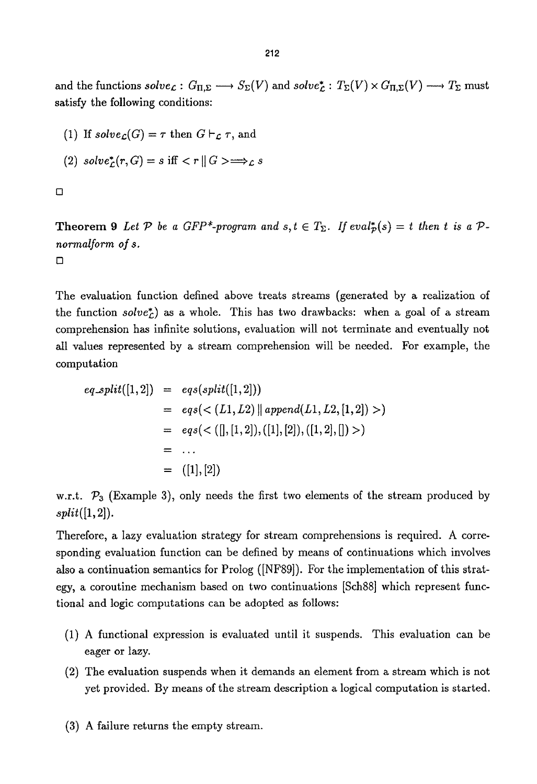and the functions  $solve_{\mathcal{L}}: G_{\Pi,\Sigma} \longrightarrow S_{\Sigma}(V)$  and  $solve_{\mathcal{L}}^*: T_{\Sigma}(V) \times G_{\Pi,\Sigma}(V) \longrightarrow T_{\Sigma}$  must satisfy the following conditions:

- (1) If  $solve_{\mathcal{L}}(G) = \tau$  then  $G \vdash_{\mathcal{L}} \tau$ , and
- (2)  $solve^*(r, G) = s$  iff  $\langle r | | G \rangle \Longrightarrow_{\mathcal{L}} s$

 $\Box$ 

**Theorem 9** Let P be a GFP<sup>\*</sup>-program and  $s, t \in T_{\Sigma}$ . If  $eval_{\mathcal{D}}^*(s) = t$  then t is a P*normalform of s.* 

*[]* 

The evaluation function defined above treats streams (generated by a realization of the function  $solve^*$ <sub>c</sub>) as a whole. This has two drawbacks: when a goal of a stream comprehension has infinite solutions, evaluation will not terminate and eventually not all values represented by a stream comprehension wiI1 be needed. For example, the computation

$$
eq\_split([1,2]) = eqs(split([1,2]))
$$
  
= eqs( $(L1, L2)$  || append( $L1, L2$ , [1,2])>)  
= eqs( $([], [1,2])$ , ([1],[2]), ([1,2],[])>)  
= ...  
= ([1],[2])

w.r.t.  $P_3$  (Example 3), only needs the first two elements of the stream produced by *split([1,2]).* 

Therefore, a lazy evaluation strategy for stream comprehensions is required. A corresponding evaluation function can be defined by means of continuations which involves also a continuation semantics for Prolog ([NF89]). For the implementation of this strategy, a coroutine mechanism based on two continuations [Sch88] which represent functional and logic computations can be adopted as follows:

- (1) A functional expression is evaluated until it suspends. This evaluation can be eager or lazy.
- (2) The evaluation suspends when it demands an element from a stream which is not yet provided. By means of the stream description a logical computation is started.
- (3) A failure returns the empty stream.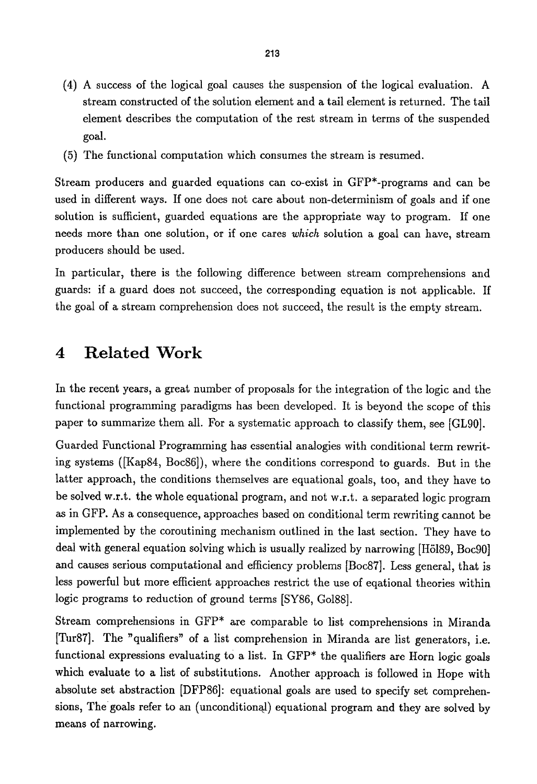- (4) A success of the logical goal causes the suspension of the logical evaluation. A stream constructed of the solution element and a tail element is returned. The tail element describes the computation of the rest stream in terms of the suspended goal.
- (5) The functional computation which consumes the stream is resumed.

Stream producers and guarded equations can co-exist in GFP\*-programs and can be used in different ways. If one does not care about non-determinism of goals and if one solution is sufficient, guarded equations are the appropriate way to program. If one needs more than one solution, or if one cares *which* solution a goal can have, stream producers should be used.

In particular, there is the following difference between stream comprehensions and guards: if a guard does not succeed, the corresponding equation is not applicable. If the goal of a stream comprehension does not succeed, the result is the empty stream.

## **4 Related Work**

In the recent years, a great number of proposals for the integration of the logic and the functional programming paradigms has been developed. It is beyond the scope of this paper to summarize them all. For a systematic approach to classify them, see [GL90].

Guarded Functional Programming has essential analogies with conditional term rewriting systems ([Kap84, Boc86]), where the conditions correspond to guards. But in the latter approach, the conditions themselves are equational goals, too, and they have to be solved w.r.t, the whole equational program, and not w.r.t, a separated logic program as in GFP. As a consequence, approaches based on conditional term rewriting cannot be implemented by the coroutining mechanism outlined in the last section. They have to deal with general equation solving which is usually realized by narrowing [116189, Boc90] and causes serious computational and efficiency problems [Boc87]. Less general, that is less powerful but more efficient approaches restrict the use of eqational theories within logic programs to reduction of ground terms [SY86, Go188].

Stream comprehensions in GFP\* are comparable to list comprehensions in Miranda [Tur87]. The "qualifiers" of a list comprehension in Miranda are list generators, i.e. functional expressions evaluating to a list. In  $\text{GFP*}$  the qualifiers are Horn logic goals which evaluate to a list of substitutions. Another approach is followed in Hope with absolute set abstraction [DFP86]: equational goals are used to specify set comprehensions, The goals refer to an (unconditional) equational program and they are solved by means of narrowing.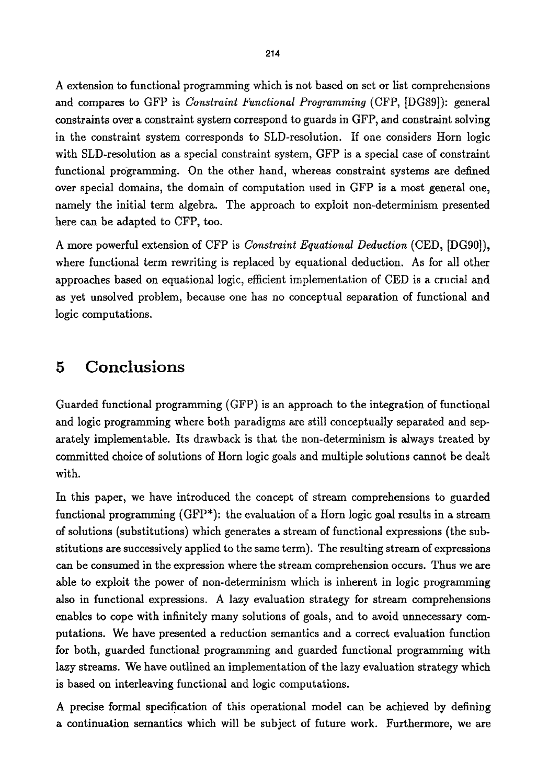A extension to functional programming which is not based on set or list comprehensions and compares to GFP is *Constraint Functional Programming* (CFP, [DGS9]): general constraints over a constraint system correspond to guards in GFP, and constraint solving in the constraint system corresponds to SLD-resolution. If one considers Horn logic with SLD-resolution as a special constraint system, GFP is a special case of constraint functional programming. On the other hand, whereas constraint systems are defined over special domains, the domain of computation used in GFP is a most general one, namely the initial term algebra. The approach to exploit non-determinism presented here can be adapted to CFP, too.

A more powerful extension of CFP is *Constraint Equational Deduction* (CED, [DG90]), where functional term rewriting is replaced by equational deduction. As for all other approaches based on equational logic, efficient implementation of CED is a crucial and as yet unsolved problem, because one has no conceptual separation of functional and logic computations.

# **5 Conclusions**

Guarded functional programming (GFP) is an approach to the integration of functional and logic programming where both paradigms are still conceptually separated and separately implementable. Its drawback is that the non-determinism is always treated by committed choice of solutions of Horn logic goals and multiple solutions cannot be dealt with.

In this paper, we have introduced the concept of stream comprehensions to guarded functional programming (GFP\*): the evaluation of a Horn logic goal results in a stream of solutions (substitutions) which generates a stream of functional expressions (the substitutions are successively applied to the same term). The resulting stream of expressions can be consumed in the expression where the stream comprehension occurs. Thus we are able to exploit the power of non-determinism which is inherent in logic programming also in functional expressions. A lazy evaluation strategy for stream comprehensions enables to cope with infinitely many solutions of goals, and to avoid unnecessary computations. We have presented a reduction semantics and a correct evaluation function for both, guarded functional programming and guarded functional programming with lazy streams. We have outlined an implementation of the lazy evaluation strategy which is based on interleaving functional and logic computations.

A precise formal specification of this operational model can be achieved by defining a continuation semantics which will be subject of future work. Furthermore, we are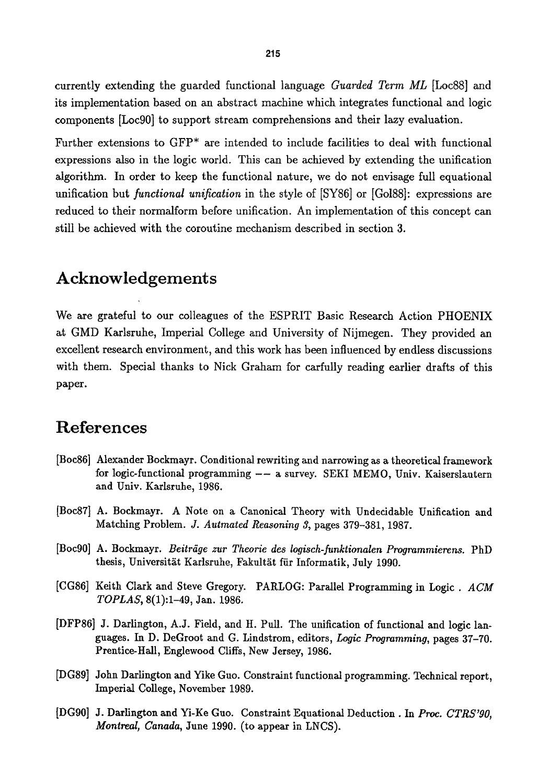currently extending the guarded functional language *Guarded Term ML* [Loc88] and its implementation based on an abstract machine which integrates functional and logic components [Loc90] to support stream comprehensions and their lazy evaluation.

Further extensions to GFP\* are intended to include facilities to deal with functional expressions also in the logic world. This can be achieved by extending the unification algorithm. In order to keep the functional nature, we do not envisage full equational unification but *functional unification* in the style of [SY86] or [Go188]: expressions are reduced to their normalform before unification. An implementation of this concept can still be achieved with the coroutine mechanism described in section 3.

## **Acknowledgements**

We are grateful to our colleagues of the ESPRIT Basic Research Action PHOENIX at GMD Kartsruhe, Imperial College and University of Nijmegen. They provided an excellent research environment, and this work has been influenced by endless discussions with them. Special thanks to Nick Graham for carfully reading earlier drafts of this paper.

#### **References**

- [Boc86] Alexander Bockmayr. Conditional rewriting and narrowing as a theoretical framework for logic-functional programming -- a survey. SEKI MEMO, Univ. Kalserslantern and Univ. Karlsruhe, 1986.
- [Boc87] A. Bockmayr. A Note on a Canonical Theory with Undecidable Unification and Matching Problem. *J. Autmated Reasoning 3,* pages 379-381, 1987.
- [Boc90] A. Bockmayr. *Beitr~ge zur Theorie des logisch-funktionalen Programmierens.* PhD thesis, Universität Karlsruhe, Fakultät für Informatik, July 1990.
- [CG86] Keith Clark and Steve Gregory. PARLOG: Parallel Programming in Logic . *ACM TOPLAS,* 8(1):1-49, Jan. 1986.
- [DFP86] J. Dartington, A.J. Field, and H. Pull. The unification of functional and logic languages. In D. DeGroot and G. Lindstrom, editors, *Logic Programming,* pages 37-70. Prentice-Hall, Englewood Cliffs, New Jersey, 1986.
- [DG89] John Darlington and Yike Guo. Constraint functional programming. Technical report, Imperial College, November 1989.
- [DG90] J. Darlington and Yi-Ke Guo. Constraint Equational Deduction. In Proc. *CTRS'90, Montreal, Canada,* June 1990. (to appear in LNCS).